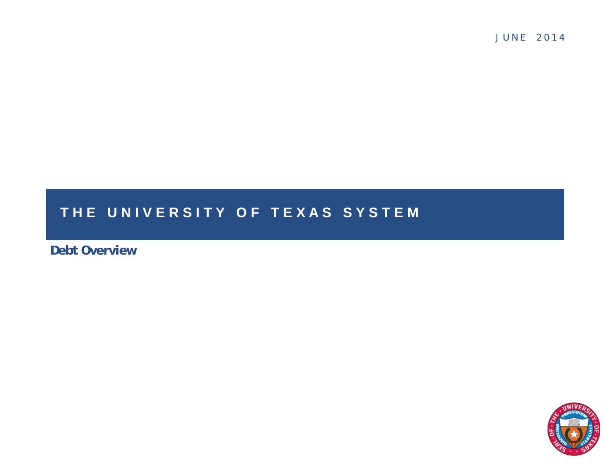J U N E 2 0 1 4

#### THE UNIVERSITY OF TEXAS SYSTEM

**Debt Overview**

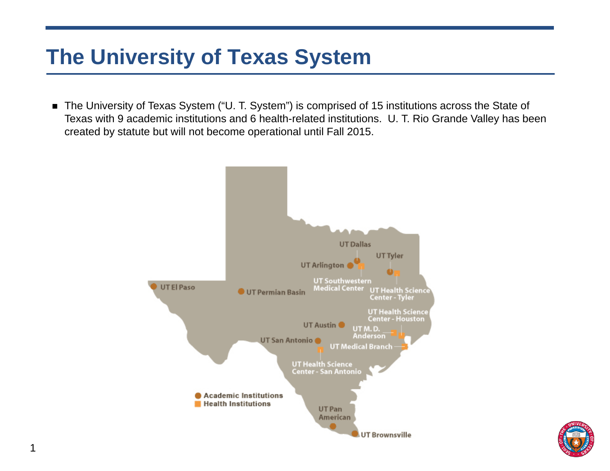# **The University of Texas System**

■ The University of Texas System ("U. T. System") is comprised of 15 institutions across the State of Texas with 9 academic institutions and 6 health-related institutions. U. T. Rio Grande Valley has been created by statute but will not become operational until Fall 2015.



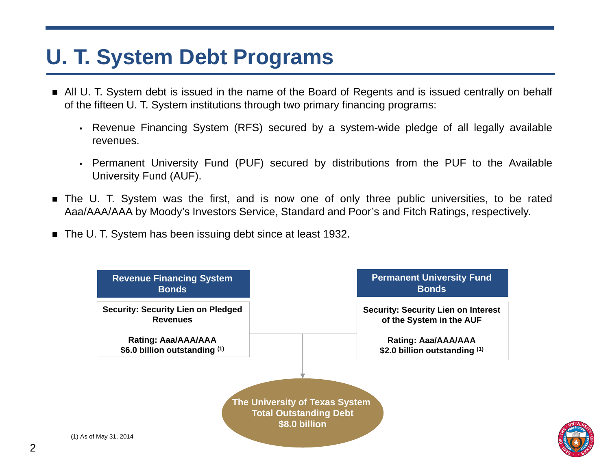# **U. T. System Debt Programs**

- All U. T. System debt is issued in the name of the Board of Regents and is issued centrally on behalf of the fifteen U. T. System institutions through two primary financing programs:
	- Revenue Financing System (RFS) secured by <sup>a</sup> system-wide pledge of all legally available revenues.
	- Permanent University Fund (PUF) secured by distributions from the PUF to the Available University Fund (AUF).
- The U. T. System was the first, and is now one of only three public universities, to be rated Aaa/AAA/AAA by Moody's Investors Service, Standard and Poor's and Fitch Ratings, respectively.
- The U. T. System has been issuing debt since at least 1932.



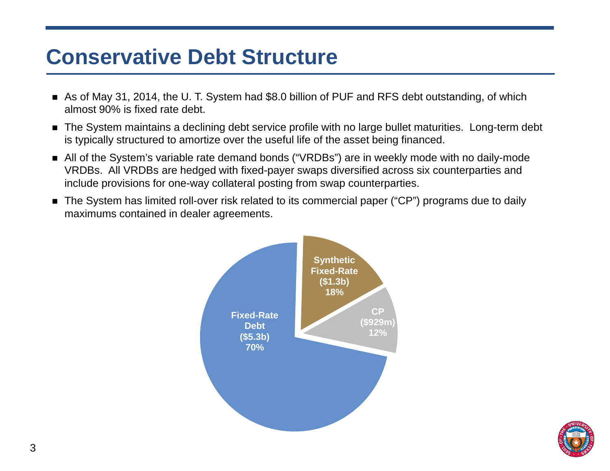#### **Conservative Debt Structure**

- As of May 31, 2014, the U. T. System had \$8.0 billion of PUF and RFS debt outstanding, of which almost 90% is fixed rate debt.
- The System maintains a declining debt service profile with no large bullet maturities. Long-term debt is typically structured to amortize over the useful life of the asset being financed.
- All of the System's variable rate demand bonds ("VRDBs") are in weekly mode with no daily-mode VRDBs. All VRDBs are hedged with fixed-payer swaps diversified across six counterparties and include provisions for one-way collateral posting from swap counterparties.
- The System has limited roll-over risk related to its commercial paper ("CP") programs due to daily maximums contained in dealer agreements.



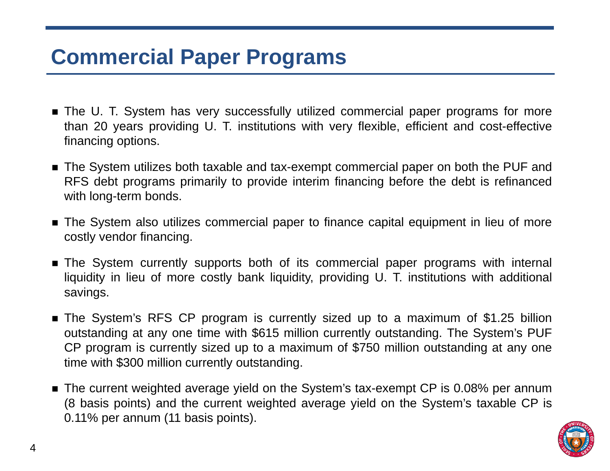## **Commercial Paper Programs**

- The U. T. System has very successfully utilized commercial paper programs for more than 20 years providing U. T. institutions with very flexible, efficient and cost-effective financing options.
- The System utilizes both taxable and tax-exempt commercial paper on both the PUF and RFS debt programs primarily to provide interim financing before the debt is refinanced with long-term bonds.
- The System also utilizes commercial paper to finance capital equipment in lieu of more costly vendor financing.
- The System currently supports both of its commercial paper programs with internal liquidity in lieu of more costly bank liquidity, providing U. T. institutions with additional savings.
- The System's RFS CP program is currently sized up to <sup>a</sup> maximum of \$1.25 billion outstanding at any one time with \$615 million currently outstanding. The System's PUF CP program is currently sized up to <sup>a</sup> maximum of \$750 million outstanding at any one time with \$300 million currently outstanding.
- The current weighted average yield on the System's tax-exempt CP is 0.08% per annum (8 basis points) and the current weighted average yield on the System's taxable CP is 0.11% per annum (11 basis points).

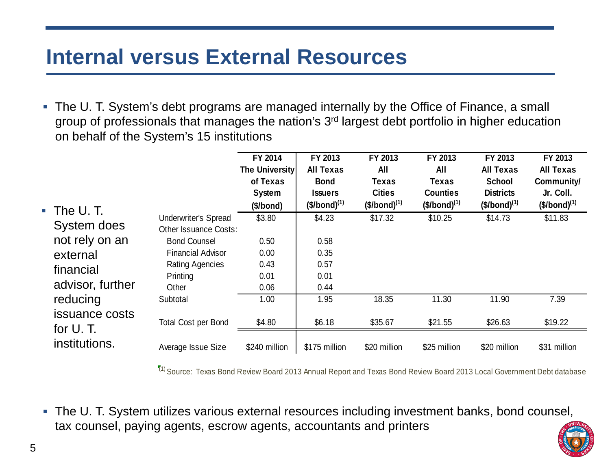#### **Internal versus External Resources**

 $\Box$  The U. T. System's debt programs are managed internally by the Office of Finance, a small group of professionals that manages the nation's 3<sup>rd</sup> largest debt portfolio in higher education on behalf of the System's 15 institutions

| $\blacksquare$ The U.T.                                                                                                                   |                                                                                                                                                               | FY 2014<br>The University<br>of Texas<br>System<br>(\$/bond) | FY 2013<br><b>All Texas</b><br><b>Bond</b><br><b>Issuers</b><br>$($/bond)^{(1)}$ | FY 2013<br><b>All</b><br><b>Texas</b><br><b>Cities</b><br>$($/bond)^{(1)}$ | FY 2013<br><b>All</b><br><b>Texas</b><br><b>Counties</b><br>$($/bond)^{(1)}$ | FY 2013<br><b>All Texas</b><br><b>School</b><br><b>Districts</b><br>$($/bond)^{(1)}$ | FY 2013<br><b>All Texas</b><br>Community/<br>Jr. Coll.<br>$($/bond)^{(1)}$ |
|-------------------------------------------------------------------------------------------------------------------------------------------|---------------------------------------------------------------------------------------------------------------------------------------------------------------|--------------------------------------------------------------|----------------------------------------------------------------------------------|----------------------------------------------------------------------------|------------------------------------------------------------------------------|--------------------------------------------------------------------------------------|----------------------------------------------------------------------------|
| System does<br>not rely on an<br>external<br>financial<br>advisor, further<br>reducing<br>issuance costs<br>for $U$ . T.<br>institutions. | <b>Underwriter's Spread</b><br><b>Other Issuance Costs:</b><br><b>Bond Counsel</b><br><b>Financial Advisor</b><br><b>Rating Agencies</b><br>Printing<br>Other | \$3.80<br>0.50<br>0.00<br>0.43<br>0.01<br>0.06               | \$4.23<br>0.58<br>0.35<br>0.57<br>0.01<br>0.44                                   | \$17.32                                                                    | \$10.25                                                                      | \$14.73                                                                              | \$11.83                                                                    |
|                                                                                                                                           | Subtotal<br><b>Total Cost per Bond</b>                                                                                                                        | 1.00<br>\$4.80                                               | 1.95<br>\$6.18                                                                   | 18.35<br>\$35.67                                                           | 11.30<br>\$21.55                                                             | 11.90<br>\$26.63                                                                     | 7.39<br>\$19.22                                                            |
|                                                                                                                                           | Average Issue Size                                                                                                                                            | \$240 million                                                | \$175 million                                                                    | \$20 million                                                               | \$25 million                                                                 | \$20 million                                                                         | \$31 million                                                               |

 $\binom{1}{1}$  Source: Texas Bond Review Board 2013 Annual Report and Texas Bond Review Board 2013 Local Government Debt database

 The U. T. System utilizes various external resources including investment banks, bond counsel, tax counsel, paying agents, escrow agents, accountants and printers

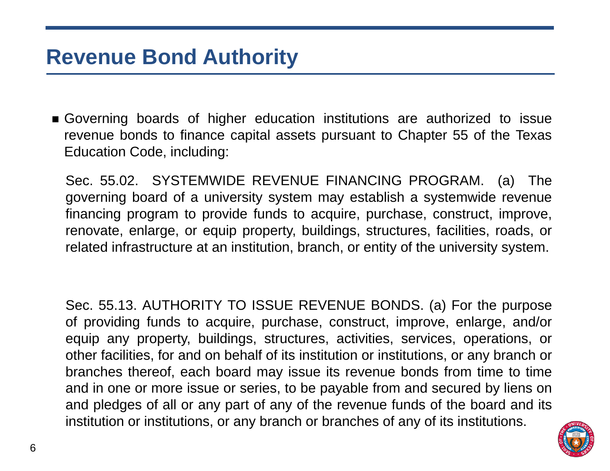#### **Revenue Bond Authority**

 Governing boards of higher education institutions are authorized to issue revenue bonds to finance capital assets pursuant to Chapter 55 of the Texas Education Code, including:

Sec. 55.02. SYSTEMWIDE REVENUE FINANCING PROGRAM. (a) The governing board of <sup>a</sup> university system may establish <sup>a</sup> systemwide revenue financing program to provide funds to acquire, purchase, construct, improve, renovate, enlarge, or equip property, buildings, structures, facilities, roads, or related infrastructure at an institution, branch, or entity of the university system.

Sec. 55.13. AUTHORITY TO ISSUE REVENUE BONDS. (a) For the purpose of providing funds to acquire, purchase, construct, improve, enlarge, and/or equip any property, buildings, structures, activities, services, operations, or other facilities, for and on behalf of its institution or institutions, or any branch or branches thereof, each board may issue its revenue bonds from time to time and in one or more issue or series, to be payable from and secured by liens on and pledges of all or any part of any of the revenue funds of the board and its institution or institutions, or any branch or branches of any of its institutions.

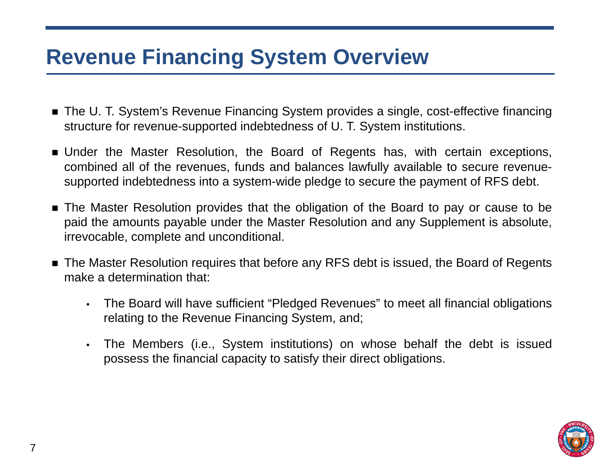## **Revenue Financing System Overview**

- The U. T. System's Revenue Financing System provides a single, cost-effective financing structure for revenue-supported indebtedness of U. T. System institutions.
- Under the Master Resolution, the Board of Regents has, with certain exceptions, combined all of the revenues, funds and balances lawfully available to secure revenuesupported indebtedness into <sup>a</sup> system-wide pledge to secure the payment of RFS debt.
- The Master Resolution provides that the obligation of the Board to pay or cause to be paid the amounts payable under the Master Resolution and any Supplement is absolute, irrevocable, complete and unconditional.
- The Master Resolution requires that before any RFS debt is issued, the Board of Regents make a determination that:
	- • The Board will have sufficient "Pledged Revenues" to meet all financial obligations relating to the Revenue Financing System, and;
	- $\bullet$  The Members (i.e., System institutions) on whose behalf the debt is issued possess the financial capacity to satisfy their direct obligations.

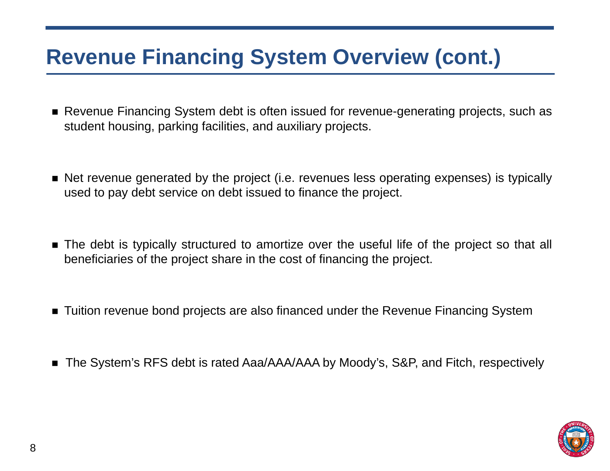# **Revenue Financing System Overview (cont.)**

- Revenue Financing System debt is often issued for revenue-generating projects, such as student housing, parking facilities, and auxiliary projects.
- Net revenue generated by the project (i.e. revenues less operating expenses) is typically used to pay debt service on debt issued to finance the project.
- The debt is typically structured to amortize over the useful life of the project so that all beneficiaries of the project share in the cost of financing the project.
- Tuition revenue bond projects are also financed under the Revenue Financing System
- The System's RFS debt is rated Aaa/AAA/AAA by Moody's, S&P, and Fitch, respectively

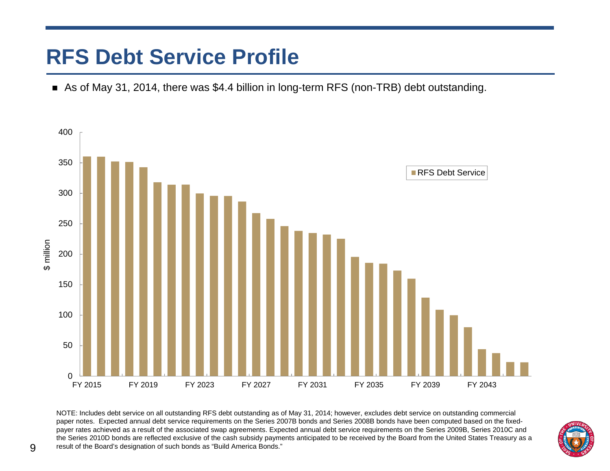## **RFS Debt Service Profile**

■ As of May 31, 2014, there was \$4.4 billion in long-term RFS (non-TRB) debt outstanding.



NOTE: Includes debt service on all outstanding RFS debt outstanding as of May 31, 2014; however, excludes debt service on outstanding commercial paper notes. Expected annual debt service requirements on the Series 2007B bonds and Series 2008B bonds have been computed based on the fixedpayer rates achieved as a result of the associated swap agreements. Expected annual debt service requirements on the Series 2009B, Series 2010C and the Series 2010D bonds are reflected exclusive of the cash subsidy payments anticipated to be received by the Board from the United States Treasury as a result of the Board's designation of such bonds as "Build America Bonds."

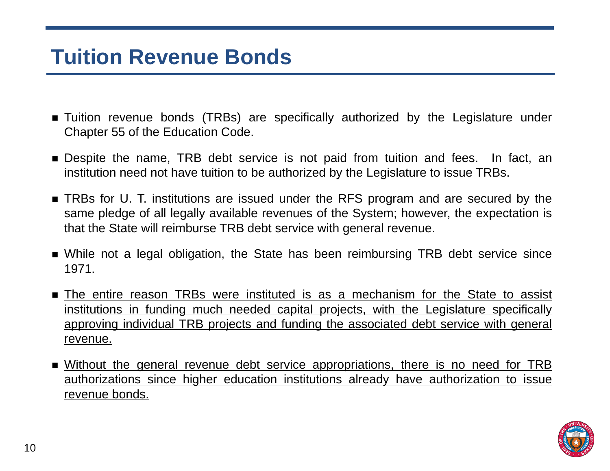#### **Tuition Revenue Bonds**

- Tuition revenue bonds (TRBs) are specifically authorized by the Legislature under Chapter 55 of the Education Code.
- Despite the name, TRB debt service is not paid from tuition and fees. In fact, an institution need not have tuition to be authorized by the Legislature to issue TRBs.
- TRBs for U. T. institutions are issued under the RFS program and are secured by the same pledge of all legally available revenues of the System; however, the expectation is that the State will reimburse TRB debt service with general revenue.
- While not <sup>a</sup> legal obligation, the State has been reimbursing TRB debt service since 1971.
- The entire reason TRBs were instituted is as a mechanism for the State to assist institutions in funding much needed capital projects, with the Legislature specifically approving individual TRB projects and funding the associated debt service with general revenue.
- Without the general revenue debt service appropriations, there is no need for TRB authorizations since higher education institutions already have authorization to issue revenue bonds.

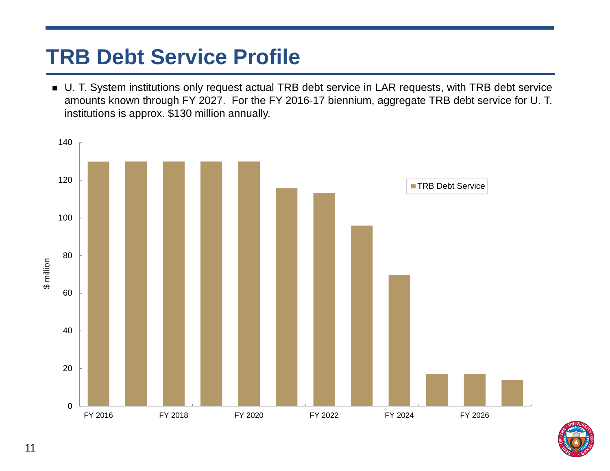# **TRB Debt Service Profile**

■ U. T. System institutions only request actual TRB debt service in LAR requests, with TRB debt service amounts known through FY 2027. For the FY 2016-17 biennium, aggregate TRB debt service for U. T. institutions is approx. \$130 million annually.



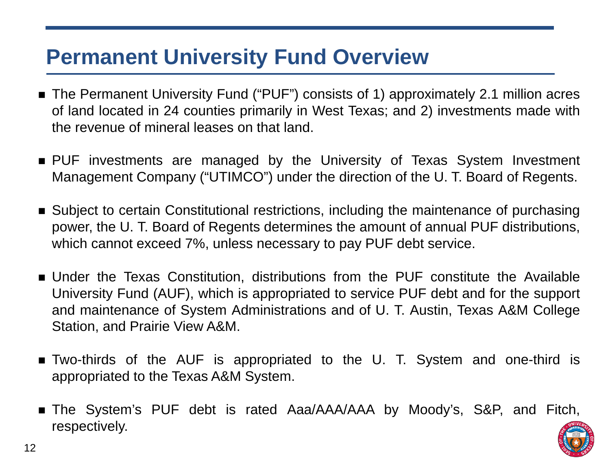#### **Permanent University Fund Overview**

- The Permanent University Fund ("PUF") consists of 1) approximately 2.1 million acres of land located in 24 counties primarily in West Texas; and 2) investments made with the revenue of mineral leases on that land.
- PUF investments are managed by the University of Texas System Investment Management Company ("UTIMCO") under the direction of the U. T. Board of Regents.
- Subject to certain Constitutional restrictions, including the maintenance of purchasing power, the U. T. Board of Regents determines the amount of annual PUF distributions, which cannot exceed 7%, unless necessary to pay PUF debt service.
- Under the Texas Constitution, distributions from the PUF constitute the Available University Fund (AUF), which is appropriated to service PUF debt and for the support and maintenance of System Administrations and of U. T. Austin, Texas A&M College Station, and Prairie View A&M.
- Two-thirds of the AUF is appropriated to the U. T. System and one-third is appropriated to the Texas A&M System.
- The System's PUF debt is rated Aaa/AAA/AAA by Moody's, S&P, and Fitch, respectively.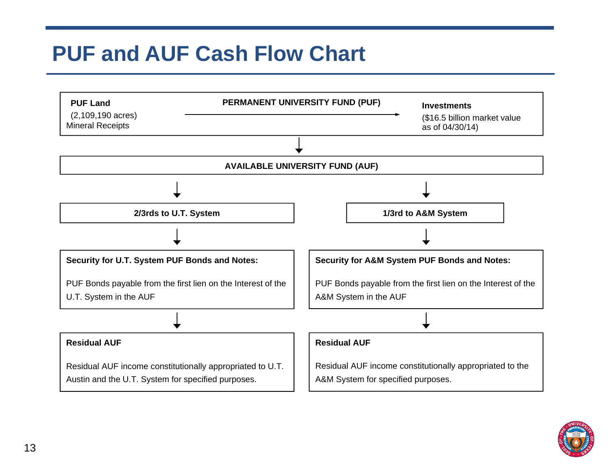# **PUF and AUF Cash Flow Chart**



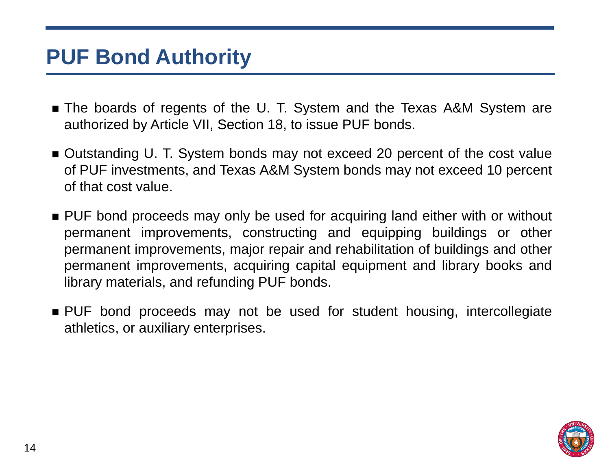#### **PUF Bond Authority**

- The boards of regents of the U. T. System and the Texas A&M System are authorized by Article VII, Section 18, to issue PUF bonds.
- Outstanding U. T. System bonds may not exceed 20 percent of the cost value of PUF investments, and Texas A&M System bonds may not exceed 10 percent of that cost value.
- PUF bond proceeds may only be used for acquiring land either with or without permanent improvements, constructing and equipping buildings or other permanent improvements, major repair and rehabilitation of buildings and other permanent improvements, acquiring capital equipment and library books and library materials, and refunding PUF bonds.
- PUF bond proceeds may not be used for student housing, intercollegiate athletics, or auxiliary enterprises.

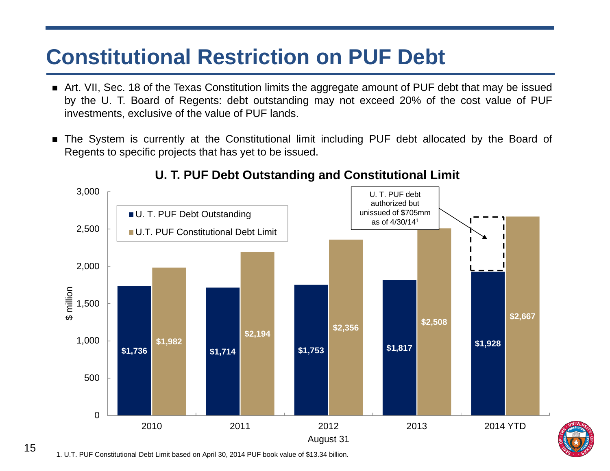## **Constitutional Restriction on PUF Debt**

- Art. VII, Sec. 18 of the Texas Constitution limits the aggregate amount of PUF debt that may be issued by the U. T. Board of Regents: debt outstanding may not exceed 20% of the cost value of PUF investments, exclusive of the value of PUF lands.
- $\blacksquare$  The System is currently at the Constitutional limit including PUF debt allocated by the Board of Regents to specific projects that has yet to be issued.



#### **U. T. PUF Debt Outstanding and Constitutional Limit**

15